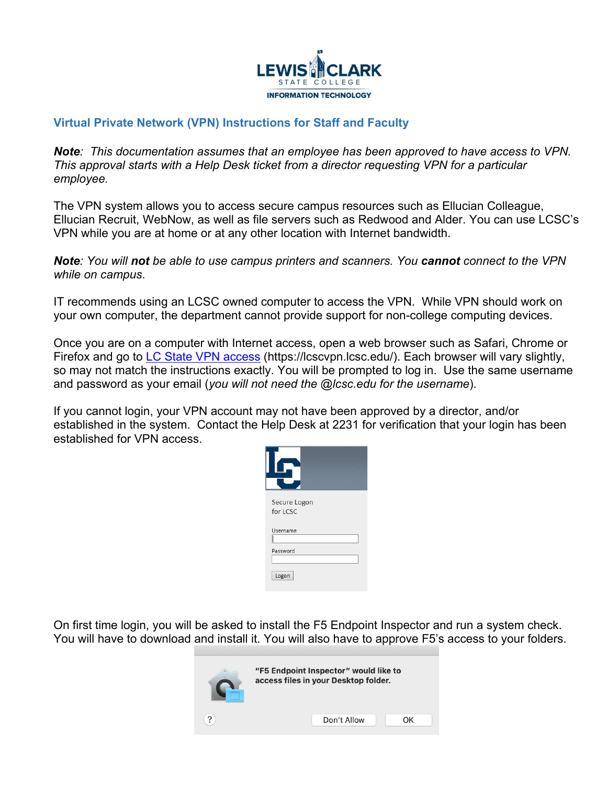

## **Virtual Private Network (VPN) Instructions for Staff and Faculty**

*Note: This documentation assumes that an employee has been approved to have access to VPN. This approval starts with a Help Desk ticket from a director requesting VPN for a particular employee.* 

The VPN system allows you to access secure campus resources such as Ellucian Colleague, Ellucian Recruit, WebNow, as well as file servers such as Redwood and Alder. You can use LCSC's VPN while you are at home or at any other location with Internet bandwidth. 

*Note: You will not be able to use campus printers and scanners. You cannot connect to the VPN while on campus*.

IT recommends using an LCSC owned computer to access the VPN. While VPN should work on your own computer, the department cannot provide support for non-college computing devices.

Once you are on a computer with Internet access, open a web browser such as Safari, Chrome or Firefox and go to [LC State VPN access](https://lcscvpn.lcsc.edu/) (https://lcscvpn.lcsc.edu/). Each browser will vary slightly, so may not match the instructions exactly. You will be prompted to log in. Use the same username and password as your email (*you will not need the @lcsc.edu for the username*).

If you cannot login, your VPN account may not have been approved by a director, and/or established in the system. Contact the Help Desk at 2231 for verification that your login has been established for VPN access.



On first time login, you will be asked to install the F5 Endpoint Inspector and run a system check. You will have to download and install it. You will also have to approve F5's access to your folders.

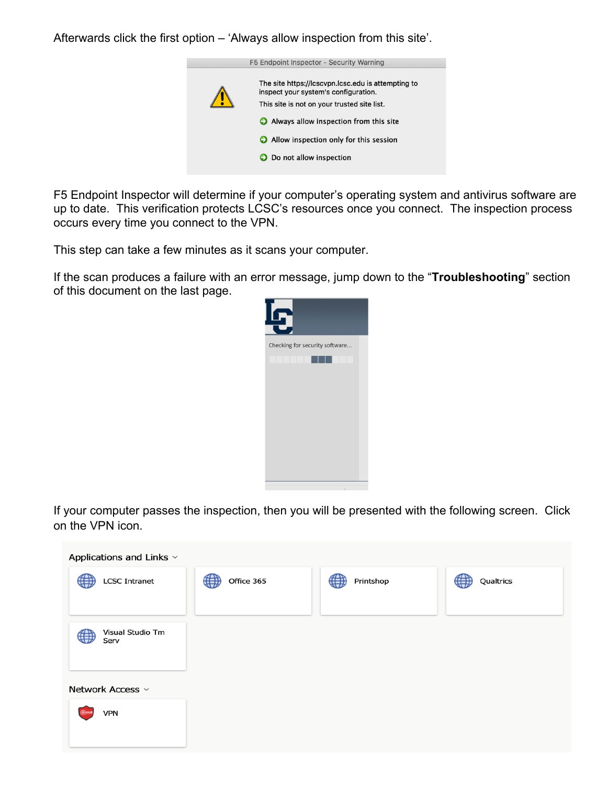Afterwards click the first option – 'Always allow inspection from this site'.



F5 Endpoint Inspector will determine if your computer's operating system and antivirus software are up to date. This verification protects LCSC's resources once you connect. The inspection process occurs every time you connect to the VPN.

This step can take a few minutes as it scans your computer.

If the scan produces a failure with an error message, jump down to the "**Troubleshooting**" section of this document on the last page.



If your computer passes the inspection, then you will be presented with the following screen. Click on the VPN icon.

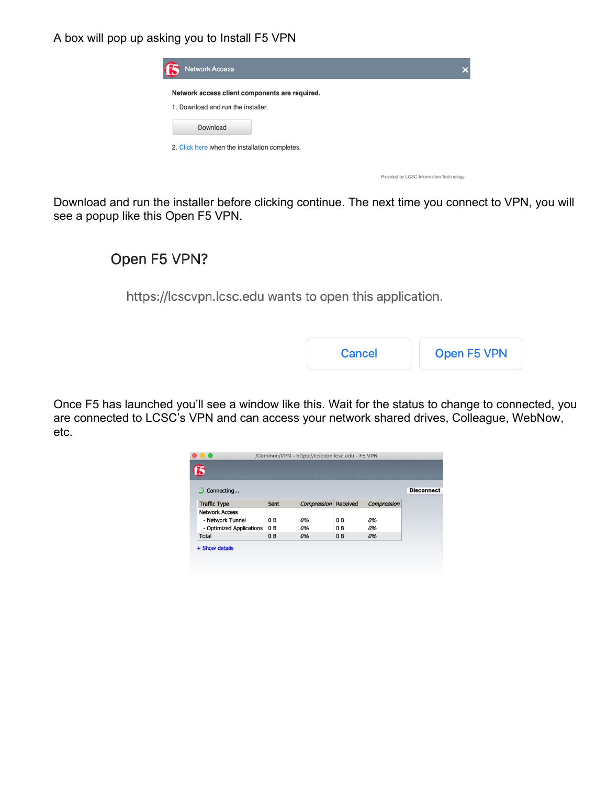A box will pop up asking you to Install F5 VPN

| <b>Network Access</b>                          |  |
|------------------------------------------------|--|
| Network access client components are required. |  |
| 1. Download and run the installer.             |  |
| Download                                       |  |
| 2. Click here when the installation completes. |  |

Download and run the installer before clicking continue. The next time you connect to VPN, you will see a popup like this Open F5 VPN.

# Open F5 VPN?

https://lcscvpn.lcsc.edu wants to open this application.

| Open F5 VPN<br>Cancel |
|-----------------------|
|-----------------------|

Provided by LCSC Information Technology

Once F5 has launched you'll see a window like this. Wait for the status to change to connected, you are connected to LCSC's VPN and can access your network shared drives, Colleague, WebNow, etc.

| f5                       |                |                      |                |             |                   |
|--------------------------|----------------|----------------------|----------------|-------------|-------------------|
| Connecting               |                |                      |                |             | <b>Disconnect</b> |
| <b>Traffic Type</b>      | Sent           | Compression Received |                | Compression |                   |
| <b>Network Access</b>    |                |                      |                |             |                   |
| - Network Tunnel         | 0 <sub>B</sub> | 0%                   | 0 B            | 0%          |                   |
| - Optimized Applications | 0 <sub>B</sub> | 0%                   | 0B             | 0%          |                   |
| <b>Total</b>             | 0 <sub>B</sub> | 0%                   | 0 <sub>B</sub> | 0%          |                   |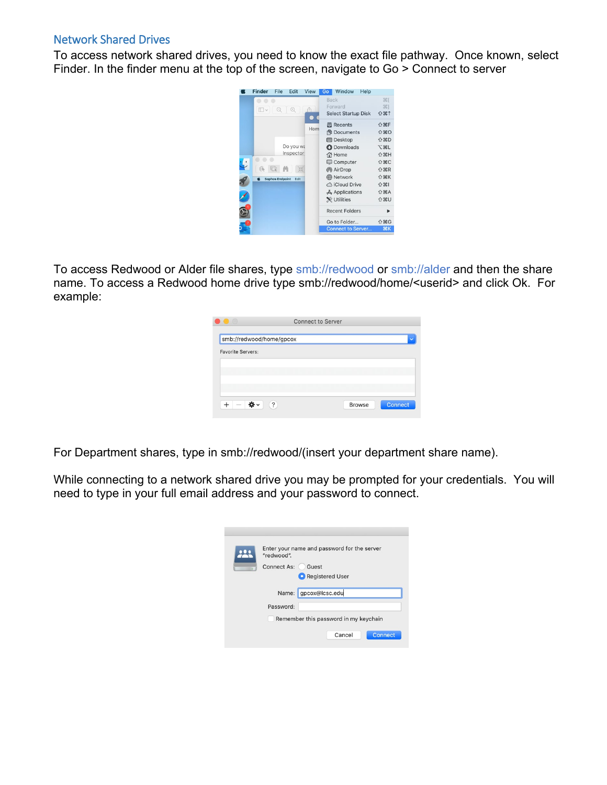### Network Shared Drives

To access network shared drives, you need to know the exact file pathway. Once known, select Finder. In the finder menu at the top of the screen, navigate to Go > Connect to server



To access Redwood or Alder file shares, type smb://redwood or smb://alder and then the share name. To access a Redwood home drive type smb://redwood/home/<userid> and click Ok. For example:

| $\ddot{?}$ |                          | <b>Browse</b>            | <b>Connect</b> |
|------------|--------------------------|--------------------------|----------------|
|            | smb://redwood/home/gpcox | <b>Connect to Server</b> |                |

For Department shares, type in smb://redwood/(insert your department share name).

While connecting to a network shared drive you may be prompted for your credentials. You will need to type in your full email address and your password to connect.

| Enter your name and password for the server<br>"redwood". |
|-----------------------------------------------------------|
| Connect As:<br>Guest                                      |
| Registered User                                           |
| gpcox@lcsc.edu<br>Name:                                   |
| Password:                                                 |
| Remember this password in my keychain                     |
| Cancel<br><b>Connect</b>                                  |